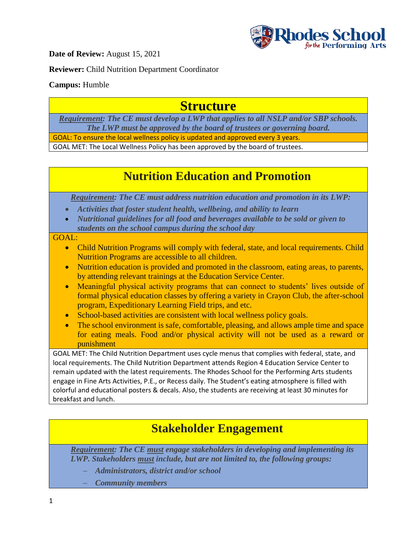

**Date of Review:** August 15, 2021

**Reviewer:** Child Nutrition Department Coordinator

#### **Campus:** Humble

## **Structure**

*Requirement: The CE must develop a LWP that applies to all NSLP and/or SBP schools. The LWP must be approved by the board of trustees or governing board.*

GOAL: To ensure the local wellness policy is updated and approved every 3 years.

GOAL MET: The Local Wellness Policy has been approved by the board of trustees.

## **Nutrition Education and Promotion**

*Requirement: The CE must address nutrition education and promotion in its LWP:*

- *Activities that foster student health, wellbeing, and ability to learn*
- *Nutritional guidelines for all food and beverages available to be sold or given to students on the school campus during the school day*

#### GOAL:

- Child Nutrition Programs will comply with federal, state, and local requirements. Child Nutrition Programs are accessible to all children.
- Nutrition education is provided and promoted in the classroom, eating areas, to parents, by attending relevant trainings at the Education Service Center.
- Meaningful physical activity programs that can connect to students' lives outside of formal physical education classes by offering a variety in Crayon Club, the after-school program, Expeditionary Learning Field trips, and etc.
- School-based activities are consistent with local wellness policy goals.
- The school environment is safe, comfortable, pleasing, and allows ample time and space for eating meals. Food and/or physical activity will not be used as a reward or punishment

GOAL MET: The Child Nutrition Department uses cycle menus that complies with federal, state, and local requirements. The Child Nutrition Department attends Region 4 Education Service Center to remain updated with the latest requirements. The Rhodes School for the Performing Arts students engage in Fine Arts Activities, P.E., or Recess daily. The Student's eating atmosphere is filled with colorful and educational posters & decals. Also, the students are receiving at least 30 minutes for breakfast and lunch.

### **Stakeholder Engagement**

*Requirement: The CE must engage stakeholders in developing and implementing its LWP. Stakeholders must include, but are not limited to, the following groups:*

- *Administrators, district and/or school*
- *Community members*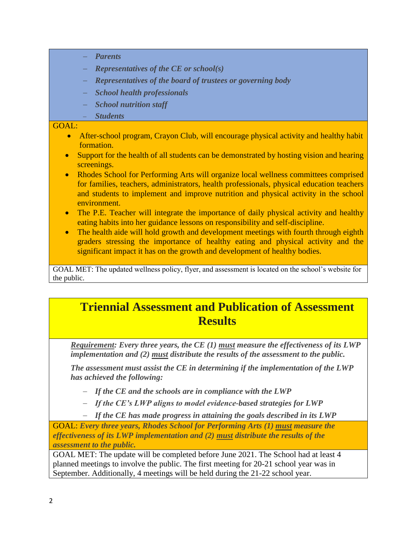- *Parents*
- *Representatives of the CE or school(s)*
- *Representatives of the board of trustees or governing body*
- *School health professionals*
- *School nutrition staff*
- *Students*

#### GOAL:

- After-school program, Crayon Club, will encourage physical activity and healthy habit formation.
- Support for the health of all students can be demonstrated by hosting vision and hearing screenings.
- Rhodes School for Performing Arts will organize local wellness committees comprised for families, teachers, administrators, health professionals, physical education teachers and students to implement and improve nutrition and physical activity in the school environment.
- The P.E. Teacher will integrate the importance of daily physical activity and healthy eating habits into her guidance lessons on responsibility and self-discipline.
- The health aide will hold growth and development meetings with fourth through eighth graders stressing the importance of healthy eating and physical activity and the significant impact it has on the growth and development of healthy bodies.

GOAL MET: The updated wellness policy, flyer, and assessment is located on the school's website for the public.

### **Triennial Assessment and Publication of Assessment Results**

*Requirement: Every three years, the CE (1) must measure the effectiveness of its LWP implementation and (2) must distribute the results of the assessment to the public.* 

*The assessment must assist the CE in determining if the implementation of the LWP has achieved the following:*

- *If the CE and the schools are in compliance with the LWP*
- *If the CE's LWP aligns to model evidence-based strategies for LWP*

*If the CE has made progress in attaining the goals described in its LWP*

GOAL: *Every three years, Rhodes School for Performing Arts (1) must measure the effectiveness of its LWP implementation and (2) must distribute the results of the assessment to the public.*

GOAL MET: The update will be completed before June 2021. The School had at least 4 planned meetings to involve the public. The first meeting for 20-21 school year was in September. Additionally, 4 meetings will be held during the 21-22 school year.